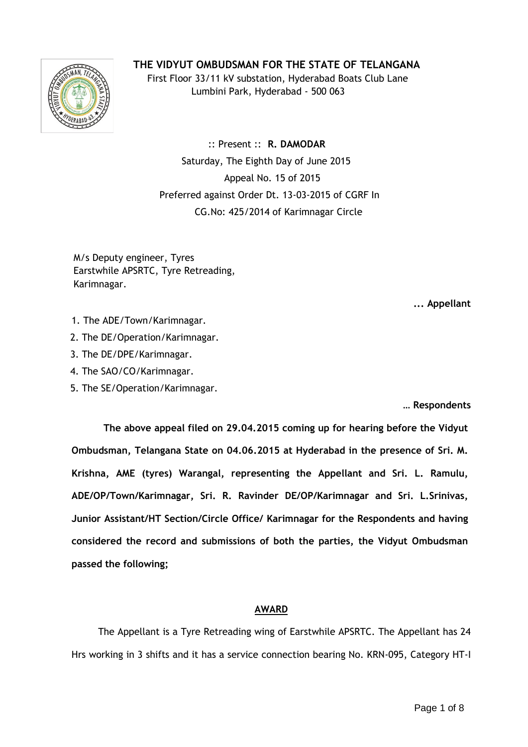## **THE VIDYUT OMBUDSMAN FOR THE STATE OF TELANGANA**



 First Floor 33/11 kV substation, Hyderabad Boats Club Lane Lumbini Park, Hyderabad - 500 063

 :: Present :: **R. DAMODAR** Saturday, The Eighth Day of June 2015 Appeal No. 15 of 2015 Preferred against Order Dt. 13-03-2015 of CGRF In CG.No: 425/2014 of Karimnagar Circle

M/s Deputy engineer, Tyres Earstwhile APSRTC, Tyre Retreading, Karimnagar.

**... Appellant**

- 1. The ADE/Town/Karimnagar.
- 2. The DE/Operation/Karimnagar.
- 3. 3. The DE/DPE/Karimnagar.
- 4. The SAO/CO/Karimnagar.
- 5. 5. The SE/Operation/Karimnagar.

**… Respondents**

**The above appeal filed on 29.04.2015 coming up for hearing before the Vidyut Ombudsman, Telangana State on 04.06.2015 at Hyderabad in the presence of Sri. M. Krishna, AME (tyres) Warangal, representing the Appellant and Sri. L. Ramulu, ADE/OP/Town/Karimnagar, Sri. R. Ravinder DE/OP/Karimnagar and Sri. L.Srinivas, Junior Assistant/HT Section/Circle Office/ Karimnagar for the Respondents and having considered the record and submissions of both the parties, the Vidyut Ombudsman passed the following;**

## **AWARD**

 The Appellant is a Tyre Retreading wing of Earstwhile APSRTC. The Appellant has 24 Hrs working in 3 shifts and it has a service connection bearing No. KRN-095, Category HT-I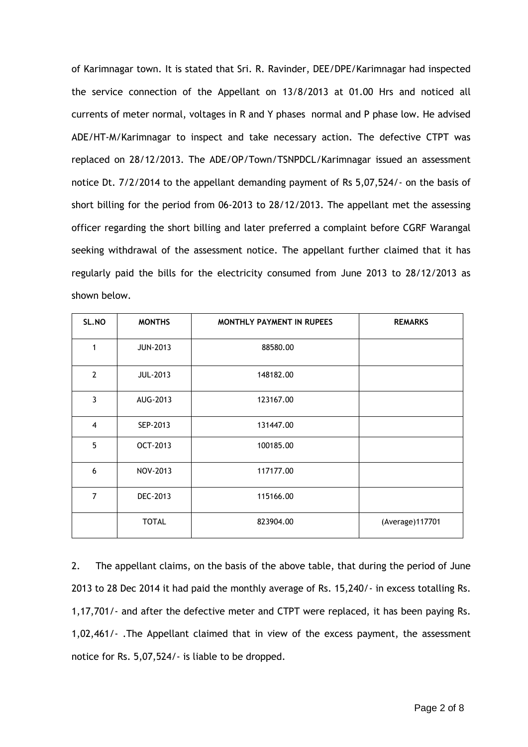of Karimnagar town. It is stated that Sri. R. Ravinder, DEE/DPE/Karimnagar had inspected the service connection of the Appellant on 13/8/2013 at 01.00 Hrs and noticed all currents of meter normal, voltages in R and Y phases normal and P phase low. He advised ADE/HT-M/Karimnagar to inspect and take necessary action. The defective CTPT was replaced on 28/12/2013. The ADE/OP/Town/TSNPDCL/Karimnagar issued an assessment notice Dt. 7/2/2014 to the appellant demanding payment of Rs 5,07,524/- on the basis of short billing for the period from 06-2013 to 28/12/2013. The appellant met the assessing officer regarding the short billing and later preferred a complaint before CGRF Warangal seeking withdrawal of the assessment notice. The appellant further claimed that it has regularly paid the bills for the electricity consumed from June 2013 to 28/12/2013 as shown below.

| SL.NO          | <b>MONTHS</b>   | MONTHLY PAYMENT IN RUPEES | <b>REMARKS</b>   |
|----------------|-----------------|---------------------------|------------------|
| 1              | <b>JUN-2013</b> | 88580.00                  |                  |
| $\overline{2}$ | <b>JUL-2013</b> | 148182.00                 |                  |
| 3              | AUG-2013        | 123167.00                 |                  |
| $\overline{4}$ | SEP-2013        | 131447.00                 |                  |
| 5              | OCT-2013        | 100185.00                 |                  |
| 6              | NOV-2013        | 117177.00                 |                  |
| $\overline{7}$ | DEC-2013        | 115166.00                 |                  |
|                | <b>TOTAL</b>    | 823904.00                 | (Average) 117701 |

2. The appellant claims, on the basis of the above table, that during the period of June 2013 to 28 Dec 2014 it had paid the monthly average of Rs. 15,240/- in excess totalling Rs. 1,17,701/- and after the defective meter and CTPT were replaced, it has been paying Rs. 1,02,461/- .The Appellant claimed that in view of the excess payment, the assessment notice for Rs. 5,07,524/- is liable to be dropped.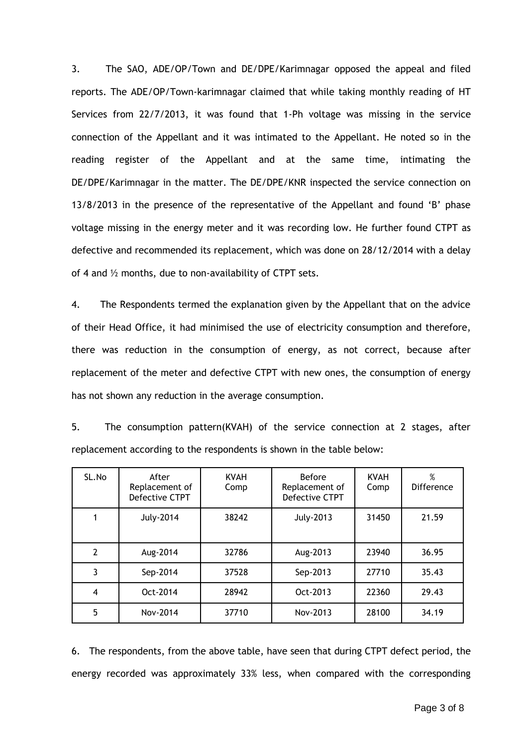3. The SAO, ADE/OP/Town and DE/DPE/Karimnagar opposed the appeal and filed reports. The ADE/OP/Town-karimnagar claimed that while taking monthly reading of HT Services from 22/7/2013, it was found that 1-Ph voltage was missing in the service connection of the Appellant and it was intimated to the Appellant. He noted so in the reading register of the Appellant and at the same time, intimating the DE/DPE/Karimnagar in the matter. The DE/DPE/KNR inspected the service connection on 13/8/2013 in the presence of the representative of the Appellant and found 'B' phase voltage missing in the energy meter and it was recording low. He further found CTPT as defective and recommended its replacement, which was done on 28/12/2014 with a delay of 4 and ½ months, due to non-availability of CTPT sets.

4. The Respondents termed the explanation given by the Appellant that on the advice of their Head Office, it had minimised the use of electricity consumption and therefore, there was reduction in the consumption of energy, as not correct, because after replacement of the meter and defective CTPT with new ones, the consumption of energy has not shown any reduction in the average consumption.

5. The consumption pattern(KVAH) of the service connection at 2 stages, after replacement according to the respondents is shown in the table below:

| SL.No | After<br>Replacement of<br>Defective CTPT | <b>KVAH</b><br>Comp | <b>Before</b><br>Replacement of<br>Defective CTPT | <b>KVAH</b><br>Comp | %<br><b>Difference</b> |
|-------|-------------------------------------------|---------------------|---------------------------------------------------|---------------------|------------------------|
| 1     | <b>July-2014</b>                          | 38242               | <b>July-2013</b>                                  | 31450               | 21.59                  |
| 2     | Aug-2014                                  | 32786               | Aug-2013                                          | 23940               | 36.95                  |
| 3     | Sep-2014                                  | 37528               | Sep-2013                                          | 27710               | 35.43                  |
| 4     | Oct-2014                                  | 28942               | Oct-2013                                          | 22360               | 29.43                  |
| 5     | Nov-2014                                  | 37710               | Nov-2013                                          | 28100               | 34.19                  |

6. The respondents, from the above table, have seen that during CTPT defect period, the energy recorded was approximately 33% less, when compared with the corresponding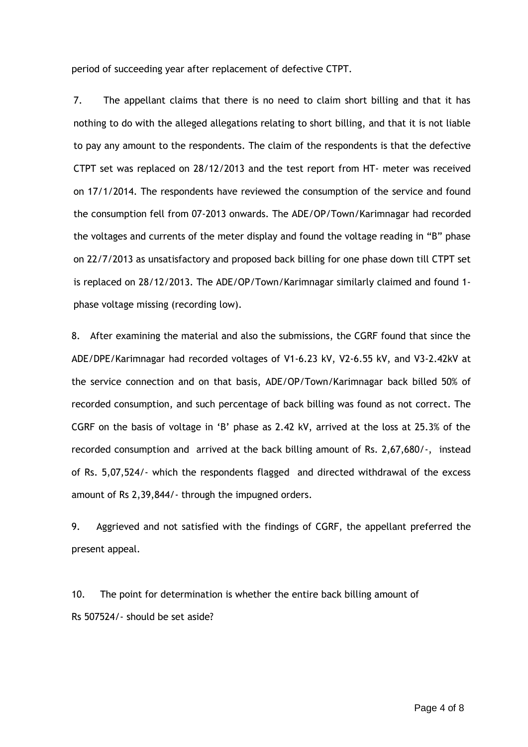period of succeeding year after replacement of defective CTPT.

7. The appellant claims that there is no need to claim short billing and that it has nothing to do with the alleged allegations relating to short billing, and that it is not liable to pay any amount to the respondents. The claim of the respondents is that the defective CTPT set was replaced on 28/12/2013 and the test report from HT- meter was received on 17/1/2014. The respondents have reviewed the consumption of the service and found the consumption fell from 07-2013 onwards. The ADE/OP/Town/Karimnagar had recorded the voltages and currents of the meter display and found the voltage reading in "B" phase on 22/7/2013 as unsatisfactory and proposed back billing for one phase down till CTPT set is replaced on 28/12/2013. The ADE/OP/Town/Karimnagar similarly claimed and found 1 phase voltage missing (recording low).

8. After examining the material and also the submissions, the CGRF found that since the ADE/DPE/Karimnagar had recorded voltages of V1-6.23 kV, V2-6.55 kV, and V3-2.42kV at the service connection and on that basis, ADE/OP/Town/Karimnagar back billed 50% of recorded consumption, and such percentage of back billing was found as not correct. The CGRF on the basis of voltage in 'B' phase as 2.42 kV, arrived at the loss at 25.3% of the recorded consumption and arrived at the back billing amount of Rs. 2,67,680/-, instead of Rs. 5,07,524/- which the respondents flagged and directed withdrawal of the excess amount of Rs 2,39,844/- through the impugned orders.

9. Aggrieved and not satisfied with the findings of CGRF, the appellant preferred the present appeal.

10. The point for determination is whether the entire back billing amount of Rs 507524/- should be set aside?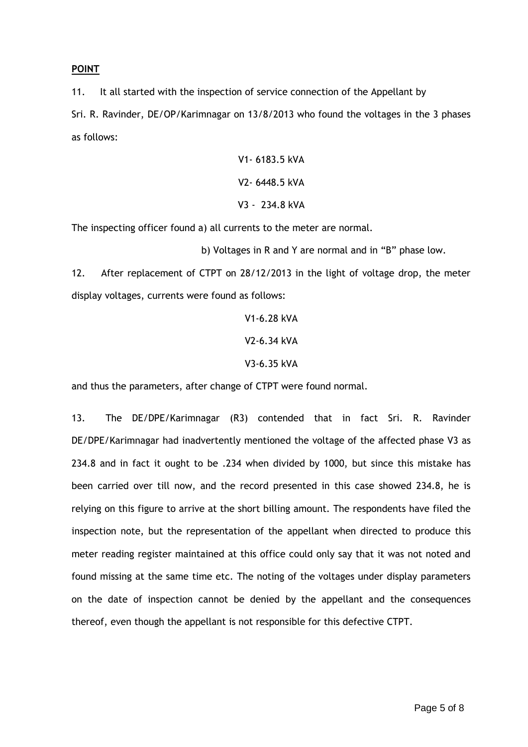#### **POINT**

11. It all started with the inspection of service connection of the Appellant by

Sri. R. Ravinder, DE/OP/Karimnagar on 13/8/2013 who found the voltages in the 3 phases as follows:

V1- 6183.5 kVA V2- 6448.5 kVA V3 - 234.8 kVA

The inspecting officer found a) all currents to the meter are normal.

b) Voltages in R and Y are normal and in "B" phase low.

12. After replacement of CTPT on 28/12/2013 in the light of voltage drop, the meter display voltages, currents were found as follows:

V1-6.28 kVA V2-6.34 kVA V3-6.35 kVA

and thus the parameters, after change of CTPT were found normal.

13. The DE/DPE/Karimnagar (R3) contended that in fact Sri. R. Ravinder DE/DPE/Karimnagar had inadvertently mentioned the voltage of the affected phase V3 as 234.8 and in fact it ought to be .234 when divided by 1000, but since this mistake has been carried over till now, and the record presented in this case showed 234.8, he is relying on this figure to arrive at the short billing amount. The respondents have filed the inspection note, but the representation of the appellant when directed to produce this meter reading register maintained at this office could only say that it was not noted and found missing at the same time etc. The noting of the voltages under display parameters on the date of inspection cannot be denied by the appellant and the consequences thereof, even though the appellant is not responsible for this defective CTPT.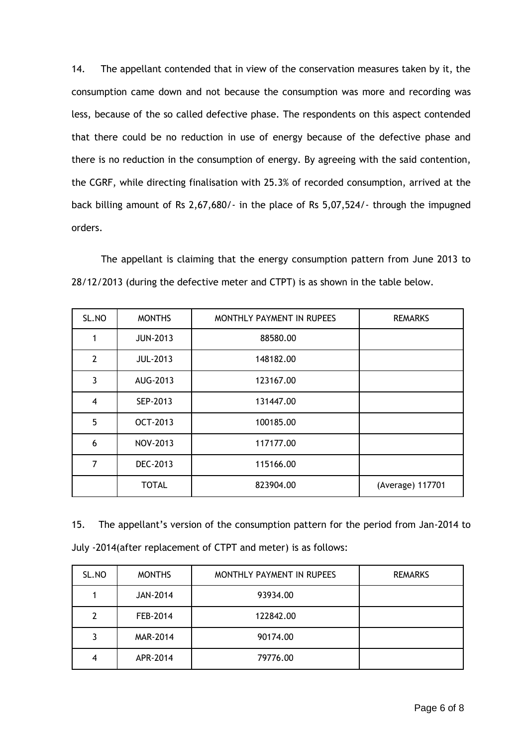14. The appellant contended that in view of the conservation measures taken by it, the consumption came down and not because the consumption was more and recording was less, because of the so called defective phase. The respondents on this aspect contended that there could be no reduction in use of energy because of the defective phase and there is no reduction in the consumption of energy. By agreeing with the said contention, the CGRF, while directing finalisation with 25.3% of recorded consumption, arrived at the back billing amount of Rs 2,67,680/- in the place of Rs 5,07,524/- through the impugned orders.

 The appellant is claiming that the energy consumption pattern from June 2013 to 28/12/2013 (during the defective meter and CTPT) is as shown in the table below.

| SL.NO          | <b>MONTHS</b>   | MONTHLY PAYMENT IN RUPEES | <b>REMARKS</b>   |
|----------------|-----------------|---------------------------|------------------|
| 1              | <b>JUN-2013</b> | 88580.00                  |                  |
| $\overline{2}$ | <b>JUL-2013</b> | 148182.00                 |                  |
| 3              | AUG-2013        | 123167.00                 |                  |
| 4              | SEP-2013        | 131447.00                 |                  |
| 5              | OCT-2013        | 100185.00                 |                  |
| 6              | NOV-2013        | 117177.00                 |                  |
| 7              | DEC-2013        | 115166.00                 |                  |
|                | <b>TOTAL</b>    | 823904.00                 | (Average) 117701 |

15. The appellant's version of the consumption pattern for the period from Jan-2014 to July -2014(after replacement of CTPT and meter) is as follows:

| SL.NO          | <b>MONTHS</b>   | MONTHLY PAYMENT IN RUPEES | <b>REMARKS</b> |
|----------------|-----------------|---------------------------|----------------|
|                | <b>JAN-2014</b> | 93934.00                  |                |
| 2              | FEB-2014        | 122842.00                 |                |
| 3              | MAR-2014        | 90174.00                  |                |
| $\overline{4}$ | APR-2014        | 79776.00                  |                |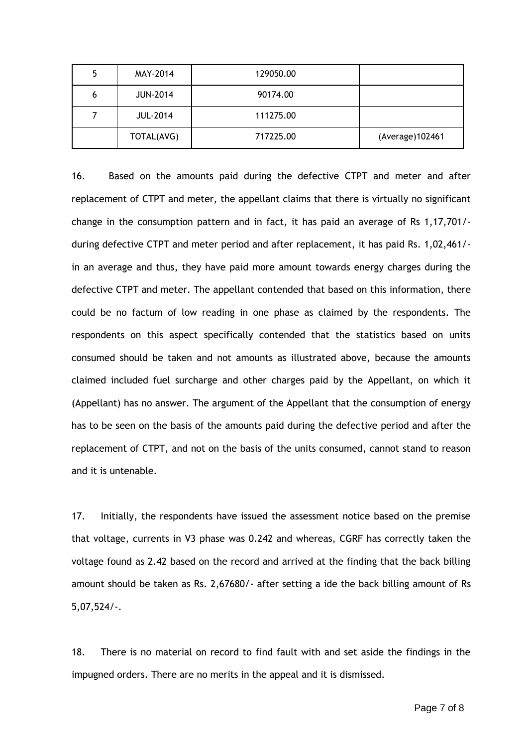| 5 | MAY-2014        | 129050.00 |                  |
|---|-----------------|-----------|------------------|
| 6 | <b>JUN-2014</b> | 90174.00  |                  |
| 7 | <b>JUL-2014</b> | 111275.00 |                  |
|   | TOTAL(AVG)      | 717225.00 | (Average) 102461 |

16. Based on the amounts paid during the defective CTPT and meter and after replacement of CTPT and meter, the appellant claims that there is virtually no significant change in the consumption pattern and in fact, it has paid an average of Rs 1,17,701/ during defective CTPT and meter period and after replacement, it has paid Rs. 1,02,461/ in an average and thus, they have paid more amount towards energy charges during the defective CTPT and meter. The appellant contended that based on this information, there could be no factum of low reading in one phase as claimed by the respondents. The respondents on this aspect specifically contended that the statistics based on units consumed should be taken and not amounts as illustrated above, because the amounts claimed included fuel surcharge and other charges paid by the Appellant, on which it (Appellant) has no answer. The argument of the Appellant that the consumption of energy has to be seen on the basis of the amounts paid during the defective period and after the replacement of CTPT, and not on the basis of the units consumed, cannot stand to reason and it is untenable.

17. Initially, the respondents have issued the assessment notice based on the premise that voltage, currents in V3 phase was 0.242 and whereas, CGRF has correctly taken the voltage found as 2.42 based on the record and arrived at the finding that the back billing amount should be taken as Rs. 2,67680/- after setting a ide the back billing amount of Rs 5,07,524/-.

18. There is no material on record to find fault with and set aside the findings in the impugned orders. There are no merits in the appeal and it is dismissed.